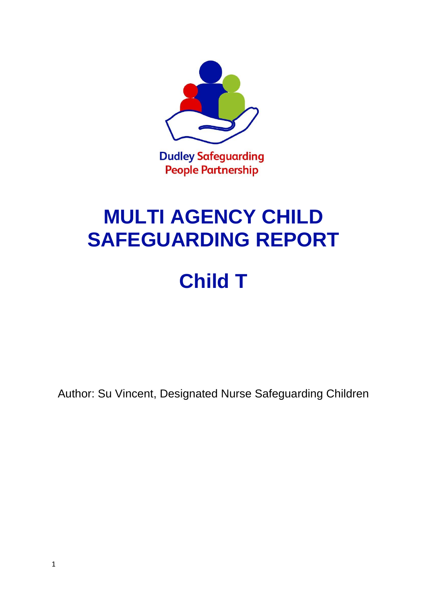

# **MULTI AGENCY CHILD SAFEGUARDING REPORT**

# **Child T**

Author: Su Vincent, Designated Nurse Safeguarding Children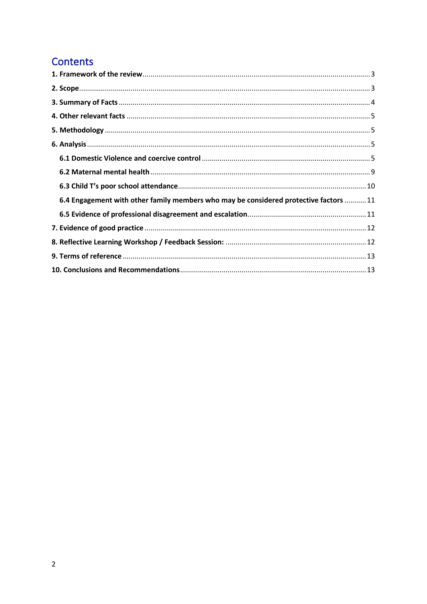# Contents

| 6.4 Engagement with other family members who may be considered protective factors  11 |  |
|---------------------------------------------------------------------------------------|--|
|                                                                                       |  |
|                                                                                       |  |
|                                                                                       |  |
|                                                                                       |  |
|                                                                                       |  |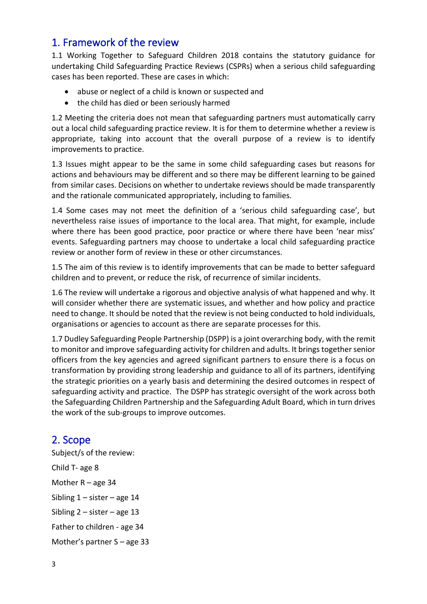# <span id="page-2-0"></span>1. Framework of the review

1.1 Working Together to Safeguard Children 2018 contains the statutory guidance for undertaking Child Safeguarding Practice Reviews (CSPRs) when a serious child safeguarding cases has been reported. These are cases in which:

- abuse or neglect of a child is known or suspected and
- the child has died or been seriously harmed

1.2 Meeting the criteria does not mean that safeguarding partners must automatically carry out a local child safeguarding practice review. It is for them to determine whether a review is appropriate, taking into account that the overall purpose of a review is to identify improvements to practice.

1.3 Issues might appear to be the same in some child safeguarding cases but reasons for actions and behaviours may be different and so there may be different learning to be gained from similar cases. Decisions on whether to undertake reviews should be made transparently and the rationale communicated appropriately, including to families.

1.4 Some cases may not meet the definition of a 'serious child safeguarding case', but nevertheless raise issues of importance to the local area. That might, for example, include where there has been good practice, poor practice or where there have been 'near miss' events. Safeguarding partners may choose to undertake a local child safeguarding practice review or another form of review in these or other circumstances.

1.5 The aim of this review is to identify improvements that can be made to better safeguard children and to prevent, or reduce the risk, of recurrence of similar incidents.

1.6 The review will undertake a rigorous and objective analysis of what happened and why. It will consider whether there are systematic issues, and whether and how policy and practice need to change. It should be noted that the review is not being conducted to hold individuals, organisations or agencies to account as there are separate processes for this.

1.7 Dudley Safeguarding People Partnership (DSPP) is a joint overarching body, with the remit to monitor and improve safeguarding activity for children and adults. It brings together senior officers from the key agencies and agreed significant partners to ensure there is a focus on transformation by providing strong leadership and guidance to all of its partners, identifying the strategic priorities on a yearly basis and determining the desired outcomes in respect of safeguarding activity and practice. The DSPP has strategic oversight of the work across both the Safeguarding Children Partnership and the Safeguarding Adult Board, which in turn drives the work of the sub-groups to improve outcomes.

# <span id="page-2-1"></span>2. Scope

Subject/s of the review: Child T- age 8 Mother R – age 34 Sibling  $1 -$  sister – age 14 Sibling  $2$  – sister – age 13 Father to children - age 34 Mother's partner S – age 33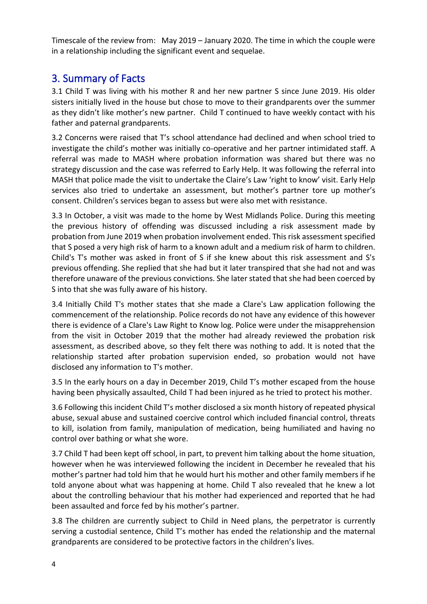Timescale of the review from: May 2019 – January 2020. The time in which the couple were in a relationship including the significant event and sequelae.

# <span id="page-3-0"></span>3. Summary of Facts

3.1 Child T was living with his mother R and her new partner S since June 2019. His older sisters initially lived in the house but chose to move to their grandparents over the summer as they didn't like mother's new partner. Child T continued to have weekly contact with his father and paternal grandparents.

3.2 Concerns were raised that T's school attendance had declined and when school tried to investigate the child's mother was initially co-operative and her partner intimidated staff. A referral was made to MASH where probation information was shared but there was no strategy discussion and the case was referred to Early Help. It was following the referral into MASH that police made the visit to undertake the Claire's Law 'right to know' visit. Early Help services also tried to undertake an assessment, but mother's partner tore up mother's consent. Children's services began to assess but were also met with resistance.

3.3 In October, a visit was made to the home by West Midlands Police. During this meeting the previous history of offending was discussed including a risk assessment made by probation from June 2019 when probation involvement ended. This risk assessment specified that S posed a very high risk of harm to a known adult and a medium risk of harm to children. Child's T's mother was asked in front of S if she knew about this risk assessment and S's previous offending. She replied that she had but it later transpired that she had not and was therefore unaware of the previous convictions. She later stated that she had been coerced by S into that she was fully aware of his history.

3.4 Initially Child T's mother states that she made a Clare's Law application following the commencement of the relationship. Police records do not have any evidence of this however there is evidence of a Clare's Law Right to Know log. Police were under the misapprehension from the visit in October 2019 that the mother had already reviewed the probation risk assessment, as described above, so they felt there was nothing to add. It is noted that the relationship started after probation supervision ended, so probation would not have disclosed any information to T's mother.

3.5 In the early hours on a day in December 2019, Child T's mother escaped from the house having been physically assaulted, Child T had been injured as he tried to protect his mother.

3.6 Following this incident Child T's mother disclosed a six month history of repeated physical abuse, sexual abuse and sustained coercive control which included financial control, threats to kill, isolation from family, manipulation of medication, being humiliated and having no control over bathing or what she wore.

3.7 Child T had been kept off school, in part, to prevent him talking about the home situation, however when he was interviewed following the incident in December he revealed that his mother's partner had told him that he would hurt his mother and other family members if he told anyone about what was happening at home. Child T also revealed that he knew a lot about the controlling behaviour that his mother had experienced and reported that he had been assaulted and force fed by his mother's partner.

3.8 The children are currently subject to Child in Need plans, the perpetrator is currently serving a custodial sentence, Child T's mother has ended the relationship and the maternal grandparents are considered to be protective factors in the children's lives.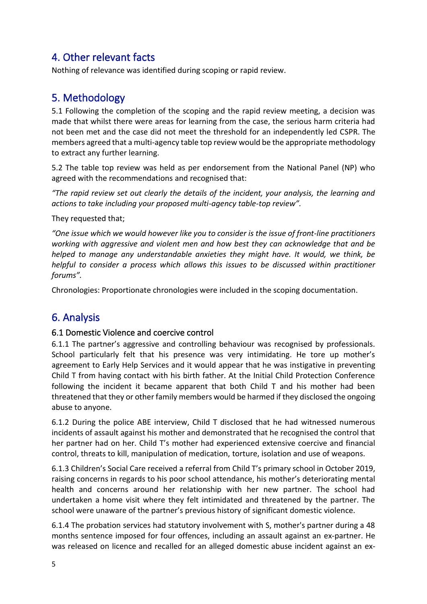# <span id="page-4-0"></span>4. Other relevant facts

Nothing of relevance was identified during scoping or rapid review.

# <span id="page-4-1"></span>5. Methodology

5.1 Following the completion of the scoping and the rapid review meeting, a decision was made that whilst there were areas for learning from the case, the serious harm criteria had not been met and the case did not meet the threshold for an independently led CSPR. The members agreed that a multi-agency table top review would be the appropriate methodology to extract any further learning.

5.2 The table top review was held as per endorsement from the National Panel (NP) who agreed with the recommendations and recognised that:

*"The rapid review set out clearly the details of the incident, your analysis, the learning and actions to take including your proposed multi-agency table-top review".* 

They requested that;

*"One issue which we would however like you to consider is the issue of front-line practitioners working with aggressive and violent men and how best they can acknowledge that and be helped to manage any understandable anxieties they might have. It would, we think, be helpful to consider a process which allows this issues to be discussed within practitioner forums".*

Chronologies: Proportionate chronologies were included in the scoping documentation.

# <span id="page-4-2"></span>6. Analysis

#### <span id="page-4-3"></span>6.1 Domestic Violence and coercive control

6.1.1 The partner's aggressive and controlling behaviour was recognised by professionals. School particularly felt that his presence was very intimidating. He tore up mother's agreement to Early Help Services and it would appear that he was instigative in preventing Child T from having contact with his birth father. At the Initial Child Protection Conference following the incident it became apparent that both Child T and his mother had been threatened that they or other family members would be harmed if they disclosed the ongoing abuse to anyone.

6.1.2 During the police ABE interview, Child T disclosed that he had witnessed numerous incidents of assault against his mother and demonstrated that he recognised the control that her partner had on her. Child T's mother had experienced extensive coercive and financial control, threats to kill, manipulation of medication, torture, isolation and use of weapons.

6.1.3 Children's Social Care received a referral from Child T's primary school in October 2019, raising concerns in regards to his poor school attendance, his mother's deteriorating mental health and concerns around her relationship with her new partner. The school had undertaken a home visit where they felt intimidated and threatened by the partner. The school were unaware of the partner's previous history of significant domestic violence.

6.1.4 The probation services had statutory involvement with S, mother's partner during a 48 months sentence imposed for four offences, including an assault against an ex-partner. He was released on licence and recalled for an alleged domestic abuse incident against an ex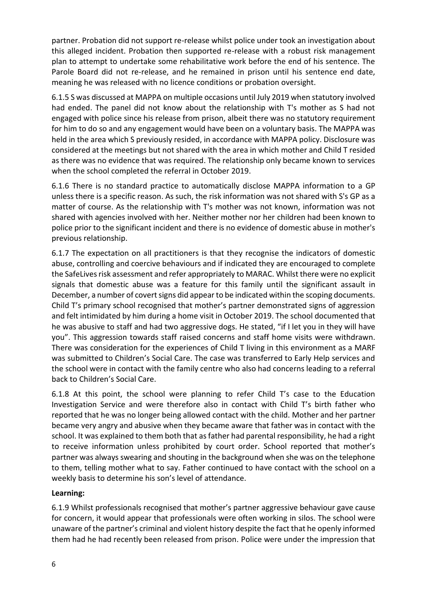partner. Probation did not support re-release whilst police under took an investigation about this alleged incident. Probation then supported re-release with a robust risk management plan to attempt to undertake some rehabilitative work before the end of his sentence. The Parole Board did not re-release, and he remained in prison until his sentence end date, meaning he was released with no licence conditions or probation oversight.

6.1.5 S was discussed at MAPPA on multiple occasions until July 2019 when statutory involved had ended. The panel did not know about the relationship with T's mother as S had not engaged with police since his release from prison, albeit there was no statutory requirement for him to do so and any engagement would have been on a voluntary basis. The MAPPA was held in the area which S previously resided, in accordance with MAPPA policy. Disclosure was considered at the meetings but not shared with the area in which mother and Child T resided as there was no evidence that was required. The relationship only became known to services when the school completed the referral in October 2019.

6.1.6 There is no standard practice to automatically disclose MAPPA information to a GP unless there is a specific reason. As such, the risk information was not shared with S's GP as a matter of course. As the relationship with T's mother was not known, information was not shared with agencies involved with her. Neither mother nor her children had been known to police prior to the significant incident and there is no evidence of domestic abuse in mother's previous relationship.

6.1.7 The expectation on all practitioners is that they recognise the indicators of domestic abuse, controlling and coercive behaviours and if indicated they are encouraged to complete the SafeLives risk assessment and refer appropriately to MARAC. Whilst there were no explicit signals that domestic abuse was a feature for this family until the significant assault in December, a number of covert signs did appear to be indicated within the scoping documents. Child T's primary school recognised that mother's partner demonstrated signs of aggression and felt intimidated by him during a home visit in October 2019. The school documented that he was abusive to staff and had two aggressive dogs. He stated, "if I let you in they will have you". This aggression towards staff raised concerns and staff home visits were withdrawn. There was consideration for the experiences of Child T living in this environment as a MARF was submitted to Children's Social Care. The case was transferred to Early Help services and the school were in contact with the family centre who also had concerns leading to a referral back to Children's Social Care.

6.1.8 At this point, the school were planning to refer Child T's case to the Education Investigation Service and were therefore also in contact with Child T's birth father who reported that he was no longer being allowed contact with the child. Mother and her partner became very angry and abusive when they became aware that father was in contact with the school. It was explained to them both that as father had parental responsibility, he had a right to receive information unless prohibited by court order. School reported that mother's partner was always swearing and shouting in the background when she was on the telephone to them, telling mother what to say. Father continued to have contact with the school on a weekly basis to determine his son's level of attendance.

#### **Learning:**

6.1.9 Whilst professionals recognised that mother's partner aggressive behaviour gave cause for concern, it would appear that professionals were often working in silos. The school were unaware of the partner's criminal and violent history despite the fact that he openly informed them had he had recently been released from prison. Police were under the impression that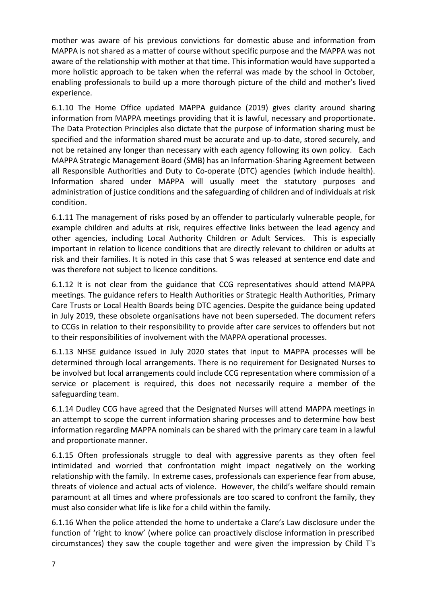mother was aware of his previous convictions for domestic abuse and information from MAPPA is not shared as a matter of course without specific purpose and the MAPPA was not aware of the relationship with mother at that time. This information would have supported a more holistic approach to be taken when the referral was made by the school in October, enabling professionals to build up a more thorough picture of the child and mother's lived experience.

6.1.10 The Home Office updated MAPPA guidance (2019) gives clarity around sharing information from MAPPA meetings providing that it is lawful, necessary and proportionate. The Data Protection Principles also dictate that the purpose of information sharing must be specified and the information shared must be accurate and up-to-date, stored securely, and not be retained any longer than necessary with each agency following its own policy. Each MAPPA Strategic Management Board (SMB) has an Information-Sharing Agreement between all Responsible Authorities and Duty to Co-operate (DTC) agencies (which include health). Information shared under MAPPA will usually meet the statutory purposes and administration of justice conditions and the safeguarding of children and of individuals at risk condition.

6.1.11 The management of risks posed by an offender to particularly vulnerable people, for example children and adults at risk, requires effective links between the lead agency and other agencies, including Local Authority Children or Adult Services. This is especially important in relation to licence conditions that are directly relevant to children or adults at risk and their families. It is noted in this case that S was released at sentence end date and was therefore not subject to licence conditions.

6.1.12 It is not clear from the guidance that CCG representatives should attend MAPPA meetings. The guidance refers to Health Authorities or Strategic Health Authorities, Primary Care Trusts or Local Health Boards being DTC agencies. Despite the guidance being updated in July 2019, these obsolete organisations have not been superseded. The document refers to CCGs in relation to their responsibility to provide after care services to offenders but not to their responsibilities of involvement with the MAPPA operational processes.

6.1.13 NHSE guidance issued in July 2020 states that input to MAPPA processes will be determined through local arrangements. There is no requirement for Designated Nurses to be involved but local arrangements could include CCG representation where commission of a service or placement is required, this does not necessarily require a member of the safeguarding team.

6.1.14 Dudley CCG have agreed that the Designated Nurses will attend MAPPA meetings in an attempt to scope the current information sharing processes and to determine how best information regarding MAPPA nominals can be shared with the primary care team in a lawful and proportionate manner.

6.1.15 Often professionals struggle to deal with aggressive parents as they often feel intimidated and worried that confrontation might impact negatively on the working relationship with the family. In extreme cases, professionals can experience fear from abuse, threats of violence and actual acts of violence. However, the child's welfare should remain paramount at all times and where professionals are too scared to confront the family, they must also consider what life is like for a child within the family.

6.1.16 When the police attended the home to undertake a Clare's Law disclosure under the function of 'right to know' (where police can proactively disclose information in prescribed circumstances) they saw the couple together and were given the impression by Child T's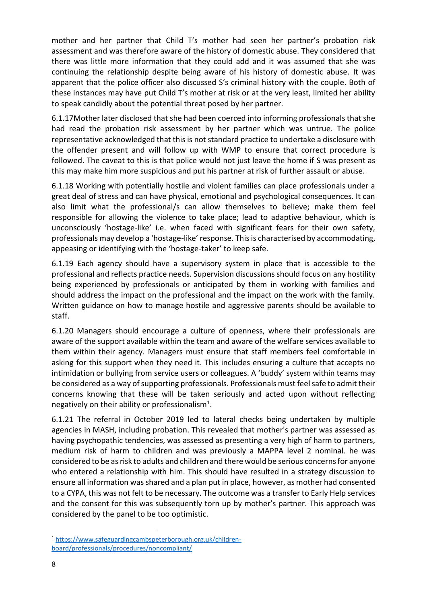mother and her partner that Child T's mother had seen her partner's probation risk assessment and was therefore aware of the history of domestic abuse. They considered that there was little more information that they could add and it was assumed that she was continuing the relationship despite being aware of his history of domestic abuse. It was apparent that the police officer also discussed S's criminal history with the couple. Both of these instances may have put Child T's mother at risk or at the very least, limited her ability to speak candidly about the potential threat posed by her partner.

6.1.17Mother later disclosed that she had been coerced into informing professionals that she had read the probation risk assessment by her partner which was untrue. The police representative acknowledged that this is not standard practice to undertake a disclosure with the offender present and will follow up with WMP to ensure that correct procedure is followed. The caveat to this is that police would not just leave the home if S was present as this may make him more suspicious and put his partner at risk of further assault or abuse.

6.1.18 Working with potentially hostile and violent families can place professionals under a great deal of stress and can have physical, emotional and psychological consequences. It can also limit what the professional/s can allow themselves to believe; make them feel responsible for allowing the violence to take place; lead to adaptive behaviour, which is unconsciously 'hostage-like' i.e. when faced with significant fears for their own safety, professionals may develop a 'hostage-like' response. This is characterised by accommodating, appeasing or identifying with the 'hostage-taker' to keep safe.

6.1.19 Each agency should have a supervisory system in place that is accessible to the professional and reflects practice needs. Supervision discussions should focus on any hostility being experienced by professionals or anticipated by them in working with families and should address the impact on the professional and the impact on the work with the family. Written guidance on how to manage hostile and aggressive parents should be available to staff.

6.1.20 Managers should encourage a culture of openness, where their professionals are aware of the support available within the team and aware of the welfare services available to them within their agency. Managers must ensure that staff members feel comfortable in asking for this support when they need it. This includes ensuring a culture that accepts no intimidation or bullying from service users or colleagues. A 'buddy' system within teams may be considered as a way of supporting professionals. Professionals must feel safe to admit their concerns knowing that these will be taken seriously and acted upon without reflecting negatively on their ability or professionalism<sup>1</sup>.

6.1.21 The referral in October 2019 led to lateral checks being undertaken by multiple agencies in MASH, including probation. This revealed that mother's partner was assessed as having psychopathic tendencies, was assessed as presenting a very high of harm to partners, medium risk of harm to children and was previously a MAPPA level 2 nominal. he was considered to be as risk to adults and children and there would be serious concerns for anyone who entered a relationship with him. This should have resulted in a strategy discussion to ensure all information was shared and a plan put in place, however, as mother had consented to a CYPA, this was not felt to be necessary. The outcome was a transfer to Early Help services and the consent for this was subsequently torn up by mother's partner. This approach was considered by the panel to be too optimistic.

<sup>1</sup> [https://www.safeguardingcambspeterborough.org.uk/children](https://www.safeguardingcambspeterborough.org.uk/children-board/professionals/procedures/noncompliant/)[board/professionals/procedures/noncompliant/](https://www.safeguardingcambspeterborough.org.uk/children-board/professionals/procedures/noncompliant/)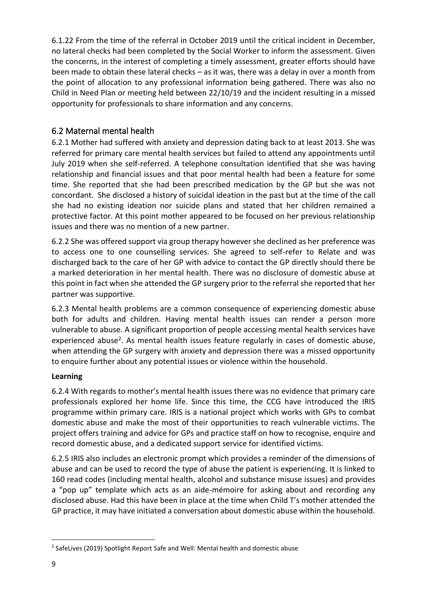6.1.22 From the time of the referral in October 2019 until the critical incident in December, no lateral checks had been completed by the Social Worker to inform the assessment. Given the concerns, in the interest of completing a timely assessment, greater efforts should have been made to obtain these lateral checks – as it was, there was a delay in over a month from the point of allocation to any professional information being gathered. There was also no Child in Need Plan or meeting held between 22/10/19 and the incident resulting in a missed opportunity for professionals to share information and any concerns.

#### <span id="page-8-0"></span>6.2 Maternal mental health

6.2.1 Mother had suffered with anxiety and depression dating back to at least 2013. She was referred for primary care mental health services but failed to attend any appointments until July 2019 when she self-referred. A telephone consultation identified that she was having relationship and financial issues and that poor mental health had been a feature for some time. She reported that she had been prescribed medication by the GP but she was not concordant. She disclosed a history of suicidal ideation in the past but at the time of the call she had no existing ideation nor suicide plans and stated that her children remained a protective factor. At this point mother appeared to be focused on her previous relationship issues and there was no mention of a new partner.

6.2.2 She was offered support via group therapy however she declined as her preference was to access one to one counselling services. She agreed to self-refer to Relate and was discharged back to the care of her GP with advice to contact the GP directly should there be a marked deterioration in her mental health. There was no disclosure of domestic abuse at this point in fact when she attended the GP surgery prior to the referral she reported that her partner was supportive.

6.2.3 Mental health problems are a common consequence of experiencing domestic abuse both for adults and children. Having mental health issues can render a person more vulnerable to abuse. A significant proportion of people accessing mental health services have experienced abuse<sup>2</sup>. As mental health issues feature regularly in cases of domestic abuse, when attending the GP surgery with anxiety and depression there was a missed opportunity to enquire further about any potential issues or violence within the household.

#### **Learning**

6.2.4 With regards to mother's mental health issues there was no evidence that primary care professionals explored her home life. Since this time, the CCG have introduced the IRIS programme within primary care. IRIS is a national project which works with GPs to combat domestic abuse and make the most of their opportunities to reach vulnerable victims. The project offers training and advice for GPs and practice staff on how to recognise, enquire and record domestic abuse, and a dedicated support service for identified victims.

6.2.5 IRIS also includes an electronic prompt which provides a reminder of the dimensions of abuse and can be used to record the type of abuse the patient is experiencing. It is linked to 160 read codes (including mental health, alcohol and substance misuse issues) and provides a "pop up" template which acts as an aide-mémoire for asking about and recording any disclosed abuse. Had this have been in place at the time when Child T's mother attended the GP practice, it may have initiated a conversation about domestic abuse within the household.

<sup>&</sup>lt;sup>2</sup> SafeLives (2019) Spotlight Report Safe and Well: Mental health and domestic abuse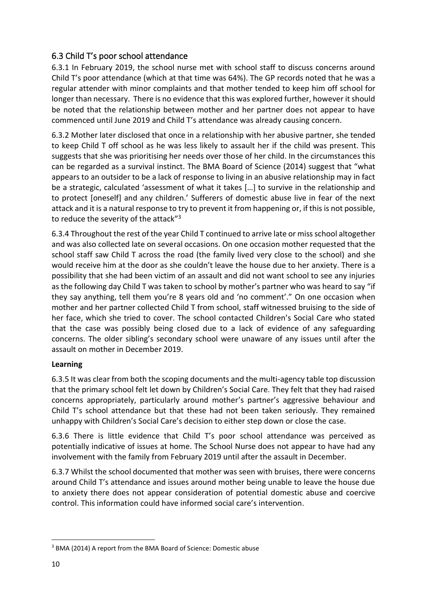#### <span id="page-9-0"></span>6.3 Child T's poor school attendance

6.3.1 In February 2019, the school nurse met with school staff to discuss concerns around Child T's poor attendance (which at that time was 64%). The GP records noted that he was a regular attender with minor complaints and that mother tended to keep him off school for longer than necessary. There is no evidence that this was explored further, however it should be noted that the relationship between mother and her partner does not appear to have commenced until June 2019 and Child T's attendance was already causing concern.

6.3.2 Mother later disclosed that once in a relationship with her abusive partner, she tended to keep Child T off school as he was less likely to assault her if the child was present. This suggests that she was prioritising her needs over those of her child. In the circumstances this can be regarded as a survival instinct. The BMA Board of Science (2014) suggest that "what appears to an outsider to be a lack of response to living in an abusive relationship may in fact be a strategic, calculated 'assessment of what it takes […] to survive in the relationship and to protect [oneself] and any children.' Sufferers of domestic abuse live in fear of the next attack and it is a natural response to try to prevent it from happening or, if this is not possible, to reduce the severity of the attack"<sup>3</sup>

6.3.4 Throughout the rest of the year Child T continued to arrive late or miss school altogether and was also collected late on several occasions. On one occasion mother requested that the school staff saw Child T across the road (the family lived very close to the school) and she would receive him at the door as she couldn't leave the house due to her anxiety. There is a possibility that she had been victim of an assault and did not want school to see any injuries as the following day Child T was taken to school by mother's partner who was heard to say "if they say anything, tell them you're 8 years old and 'no comment'." On one occasion when mother and her partner collected Child T from school, staff witnessed bruising to the side of her face, which she tried to cover. The school contacted Children's Social Care who stated that the case was possibly being closed due to a lack of evidence of any safeguarding concerns. The older sibling's secondary school were unaware of any issues until after the assault on mother in December 2019.

#### **Learning**

6.3.5 It was clear from both the scoping documents and the multi-agency table top discussion that the primary school felt let down by Children's Social Care. They felt that they had raised concerns appropriately, particularly around mother's partner's aggressive behaviour and Child T's school attendance but that these had not been taken seriously. They remained unhappy with Children's Social Care's decision to either step down or close the case.

6.3.6 There is little evidence that Child T's poor school attendance was perceived as potentially indicative of issues at home. The School Nurse does not appear to have had any involvement with the family from February 2019 until after the assault in December.

6.3.7 Whilst the school documented that mother was seen with bruises, there were concerns around Child T's attendance and issues around mother being unable to leave the house due to anxiety there does not appear consideration of potential domestic abuse and coercive control. This information could have informed social care's intervention.

<sup>3</sup> BMA (2014) A report from the BMA Board of Science: Domestic abuse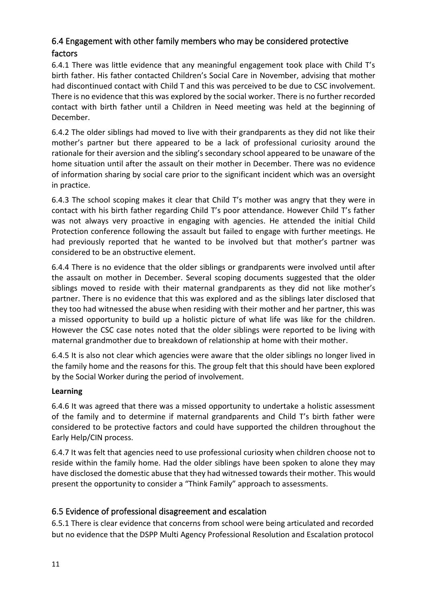#### <span id="page-10-0"></span>6.4 Engagement with other family members who may be considered protective factors

6.4.1 There was little evidence that any meaningful engagement took place with Child T's birth father. His father contacted Children's Social Care in November, advising that mother had discontinued contact with Child T and this was perceived to be due to CSC involvement. There is no evidence that this was explored by the social worker. There is no further recorded contact with birth father until a Children in Need meeting was held at the beginning of December.

6.4.2 The older siblings had moved to live with their grandparents as they did not like their mother's partner but there appeared to be a lack of professional curiosity around the rationale for their aversion and the sibling's secondary school appeared to be unaware of the home situation until after the assault on their mother in December. There was no evidence of information sharing by social care prior to the significant incident which was an oversight in practice.

6.4.3 The school scoping makes it clear that Child T's mother was angry that they were in contact with his birth father regarding Child T's poor attendance. However Child T's father was not always very proactive in engaging with agencies. He attended the initial Child Protection conference following the assault but failed to engage with further meetings. He had previously reported that he wanted to be involved but that mother's partner was considered to be an obstructive element.

6.4.4 There is no evidence that the older siblings or grandparents were involved until after the assault on mother in December. Several scoping documents suggested that the older siblings moved to reside with their maternal grandparents as they did not like mother's partner. There is no evidence that this was explored and as the siblings later disclosed that they too had witnessed the abuse when residing with their mother and her partner, this was a missed opportunity to build up a holistic picture of what life was like for the children. However the CSC case notes noted that the older siblings were reported to be living with maternal grandmother due to breakdown of relationship at home with their mother.

6.4.5 It is also not clear which agencies were aware that the older siblings no longer lived in the family home and the reasons for this. The group felt that this should have been explored by the Social Worker during the period of involvement.

#### **Learning**

6.4.6 It was agreed that there was a missed opportunity to undertake a holistic assessment of the family and to determine if maternal grandparents and Child T's birth father were considered to be protective factors and could have supported the children throughout the Early Help/CIN process.

6.4.7 It was felt that agencies need to use professional curiosity when children choose not to reside within the family home. Had the older siblings have been spoken to alone they may have disclosed the domestic abuse that they had witnessed towards their mother. This would present the opportunity to consider a "Think Family" approach to assessments.

#### <span id="page-10-1"></span>6.5 Evidence of professional disagreement and escalation

6.5.1 There is clear evidence that concerns from school were being articulated and recorded but no evidence that the DSPP Multi Agency Professional Resolution and Escalation protocol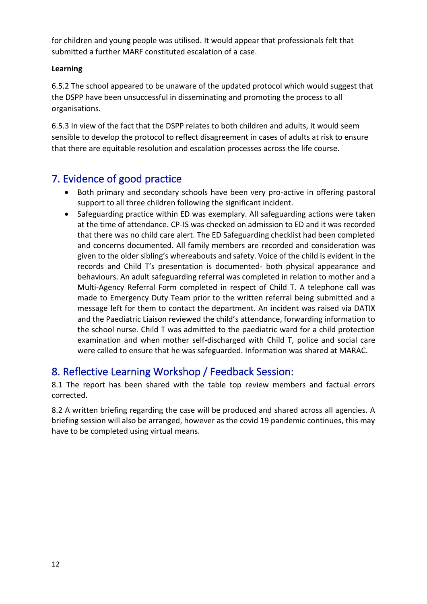for children and young people was utilised. It would appear that professionals felt that submitted a further MARF constituted escalation of a case.

#### **Learning**

6.5.2 The school appeared to be unaware of the updated protocol which would suggest that the DSPP have been unsuccessful in disseminating and promoting the process to all organisations.

6.5.3 In view of the fact that the DSPP relates to both children and adults, it would seem sensible to develop the protocol to reflect disagreement in cases of adults at risk to ensure that there are equitable resolution and escalation processes across the life course.

# <span id="page-11-0"></span>7. Evidence of good practice

- Both primary and secondary schools have been very pro-active in offering pastoral support to all three children following the significant incident.
- Safeguarding practice within ED was exemplary. All safeguarding actions were taken at the time of attendance. CP-IS was checked on admission to ED and it was recorded that there was no child care alert. The ED Safeguarding checklist had been completed and concerns documented. All family members are recorded and consideration was given to the older sibling's whereabouts and safety. Voice of the child is evident in the records and Child T's presentation is documented- both physical appearance and behaviours. An adult safeguarding referral was completed in relation to mother and a Multi-Agency Referral Form completed in respect of Child T. A telephone call was made to Emergency Duty Team prior to the written referral being submitted and a message left for them to contact the department. An incident was raised via DATIX and the Paediatric Liaison reviewed the child's attendance, forwarding information to the school nurse. Child T was admitted to the paediatric ward for a child protection examination and when mother self-discharged with Child T, police and social care were called to ensure that he was safeguarded. Information was shared at MARAC.

# <span id="page-11-1"></span>8. Reflective Learning Workshop / Feedback Session:

8.1 The report has been shared with the table top review members and factual errors corrected.

<span id="page-11-2"></span>8.2 A written briefing regarding the case will be produced and shared across all agencies. A briefing session will also be arranged, however as the covid 19 pandemic continues, this may have to be completed using virtual means.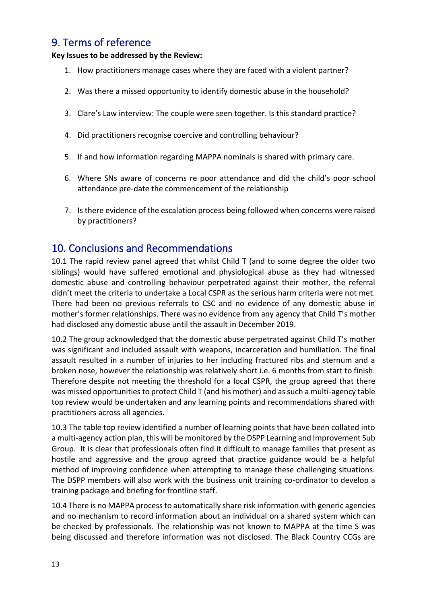# 9. Terms of reference

#### **Key Issues to be addressed by the Review:**

- 1. How practitioners manage cases where they are faced with a violent partner?
- 2. Was there a missed opportunity to identify domestic abuse in the household?
- 3. Clare's Law interview: The couple were seen together. Is this standard practice?
- 4. Did practitioners recognise coercive and controlling behaviour?
- 5. If and how information regarding MAPPA nominals is shared with primary care.
- 6. Where SNs aware of concerns re poor attendance and did the child's poor school attendance pre-date the commencement of the relationship
- 7. Is there evidence of the escalation process being followed when concerns were raised by practitioners?

### <span id="page-12-0"></span>10. Conclusions and Recommendations

10.1 The rapid review panel agreed that whilst Child T (and to some degree the older two siblings) would have suffered emotional and physiological abuse as they had witnessed domestic abuse and controlling behaviour perpetrated against their mother, the referral didn't meet the criteria to undertake a Local CSPR as the serious harm criteria were not met. There had been no previous referrals to CSC and no evidence of any domestic abuse in mother's former relationships. There was no evidence from any agency that Child T's mother had disclosed any domestic abuse until the assault in December 2019.

10.2 The group acknowledged that the domestic abuse perpetrated against Child T's mother was significant and included assault with weapons, incarceration and humiliation. The final assault resulted in a number of injuries to her including fractured ribs and sternum and a broken nose, however the relationship was relatively short i.e. 6 months from start to finish. Therefore despite not meeting the threshold for a local CSPR, the group agreed that there was missed opportunities to protect Child T (and his mother) and as such a multi-agency table top review would be undertaken and any learning points and recommendations shared with practitioners across all agencies.

10.3 The table top review identified a number of learning points that have been collated into a multi-agency action plan, this will be monitored by the DSPP Learning and Improvement Sub Group. It is clear that professionals often find it difficult to manage families that present as hostile and aggressive and the group agreed that practice guidance would be a helpful method of improving confidence when attempting to manage these challenging situations. The DSPP members will also work with the business unit training co-ordinator to develop a training package and briefing for frontline staff.

10.4 There is no MAPPA process to automatically share risk information with generic agencies and no mechanism to record information about an individual on a shared system which can be checked by professionals. The relationship was not known to MAPPA at the time S was being discussed and therefore information was not disclosed. The Black Country CCGs are